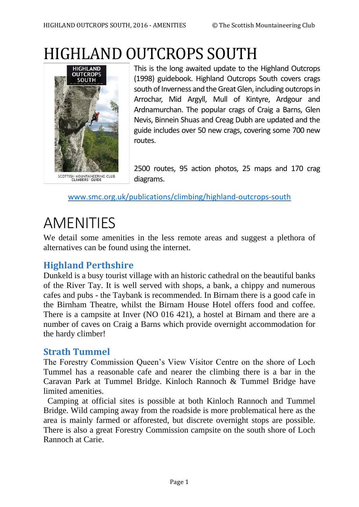# HIGHLAND OUTCROPS SOUTH



This is the long awaited update to the Highland Outcrops (1998) guidebook. Highland Outcrops South covers crags south of Inverness and the Great Glen, including outcrops in Arrochar, Mid Argyll, Mull of Kintyre, Ardgour and Ardnamurchan. The popular crags of Craig a Barns, Glen Nevis, Binnein Shuas and Creag Dubh are updated and the guide includes over 50 new crags, covering some 700 new routes.

2500 routes, 95 action photos, 25 maps and 170 crag diagrams.

[www.smc.org.uk/publications/climbing/highland-outcrops-south](http://www.smc.org.uk/publications/climbing/highland-outcrops-south)

# AMENITIES

We detail some amenities in the less remote areas and suggest a plethora of alternatives can be found using the internet.

# **Highland Perthshire**

Dunkeld is a busy tourist village with an historic cathedral on the beautiful banks of the River Tay. It is well served with shops, a bank, a chippy and numerous cafes and pubs - the Taybank is recommended. In Birnam there is a good cafe in the Birnham Theatre, whilst the Birnam House Hotel offers food and coffee. There is a campsite at Inver (NO 016 421), a hostel at Birnam and there are a number of caves on Craig a Barns which provide overnight accommodation for the hardy climber!

# **Strath Tummel**

The Forestry Commission Queen's View Visitor Centre on the shore of Loch Tummel has a reasonable cafe and nearer the climbing there is a bar in the Caravan Park at Tummel Bridge. Kinloch Rannoch & Tummel Bridge have limited amenities.

 Camping at official sites is possible at both Kinloch Rannoch and Tummel Bridge. Wild camping away from the roadside is more problematical here as the area is mainly farmed or afforested, but discrete overnight stops are possible. There is also a great Forestry Commission campsite on the south shore of Loch Rannoch at Carie.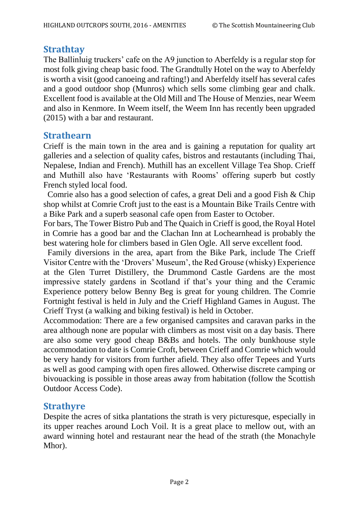# **Strathtay**

The Ballinluig truckers' cafe on the A9 junction to Aberfeldy is a regular stop for most folk giving cheap basic food. The Grandtully Hotel on the way to Aberfeldy is worth a visit (good canoeing and rafting!) and Aberfeldy itself has several cafes and a good outdoor shop (Munros) which sells some climbing gear and chalk. Excellent food is available at the Old Mill and The House of Menzies, near Weem and also in Kenmore. In Weem itself, the Weem Inn has recently been upgraded (2015) with a bar and restaurant.

#### **Strathearn**

Crieff is the main town in the area and is gaining a reputation for quality art galleries and a selection of quality cafes, bistros and restautants (including Thai, Nepalese, Indian and French). Muthill has an excellent Village Tea Shop. Crieff and Muthill also have 'Restaurants with Rooms' offering superb but costly French styled local food.

 Comrie also has a good selection of cafes, a great Deli and a good Fish & Chip shop whilst at Comrie Croft just to the east is a Mountain Bike Trails Centre with a Bike Park and a superb seasonal cafe open from Easter to October.

For bars, The Tower Bistro Pub and The Quaich in Crieff is good, the Royal Hotel in Comrie has a good bar and the Clachan Inn at Lochearnhead is probably the best watering hole for climbers based in Glen Ogle. All serve excellent food.

 Family diversions in the area, apart from the Bike Park, include The Crieff Visitor Centre with the 'Drovers' Museum', the Red Grouse (whisky) Experience at the Glen Turret Distillery, the Drummond Castle Gardens are the most impressive stately gardens in Scotland if that's your thing and the Ceramic Experience pottery below Benny Beg is great for young children. The Comrie Fortnight festival is held in July and the Crieff Highland Games in August. The Crieff Tryst (a walking and biking festival) is held in October.

Accommodation: There are a few organised campsites and caravan parks in the area although none are popular with climbers as most visit on a day basis. There are also some very good cheap B&Bs and hotels. The only bunkhouse style accommodation to date is Comrie Croft, between Crieff and Comrie which would be very handy for visitors from further afield. They also offer Tepees and Yurts as well as good camping with open fires allowed. Otherwise discrete camping or bivouacking is possible in those areas away from habitation (follow the Scottish Outdoor Access Code).

# **Strathyre**

Despite the acres of sitka plantations the strath is very picturesque, especially in its upper reaches around Loch Voil. It is a great place to mellow out, with an award winning hotel and restaurant near the head of the strath (the Monachyle Mhor).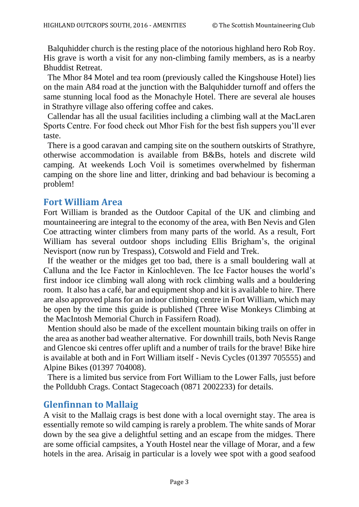Balquhidder church is the resting place of the notorious highland hero Rob Roy. His grave is worth a visit for any non-climbing family members, as is a nearby Bhuddist Retreat.

 The Mhor 84 Motel and tea room (previously called the Kingshouse Hotel) lies on the main A84 road at the junction with the Balquhidder turnoff and offers the same stunning local food as the Monachyle Hotel. There are several ale houses in Strathyre village also offering coffee and cakes.

 Callendar has all the usual facilities including a climbing wall at the MacLaren Sports Centre. For food check out Mhor Fish for the best fish suppers you'll ever taste.

 There is a good caravan and camping site on the southern outskirts of Strathyre, otherwise accommodation is available from B&Bs, hotels and discrete wild camping. At weekends Loch Voil is sometimes overwhelmed by fisherman camping on the shore line and litter, drinking and bad behaviour is becoming a problem!

#### **Fort William Area**

Fort William is branded as the Outdoor Capital of the UK and climbing and mountaineering are integral to the economy of the area, with Ben Nevis and Glen Coe attracting winter climbers from many parts of the world. As a result, Fort William has several outdoor shops including Ellis Brigham's, the original Nevisport (now run by Trespass), Cotswold and Field and Trek.

 If the weather or the midges get too bad, there is a small bouldering wall at Calluna and the Ice Factor in Kinlochleven. The Ice Factor houses the world's first indoor ice climbing wall along with rock climbing walls and a bouldering room. It also has a café, bar and equipment shop and kit is available to hire. There are also approved plans for an indoor climbing centre in Fort William, which may be open by the time this guide is published (Three Wise Monkeys Climbing at the MacIntosh Memorial Church in Fassifern Road).

 Mention should also be made of the excellent mountain biking trails on offer in the area as another bad weather alternative. For downhill trails, both Nevis Range and Glencoe ski centres offer uplift and a number of trails for the brave! Bike hire is available at both and in Fort William itself - Nevis Cycles (01397 705555) and Alpine Bikes (01397 704008).

 There is a limited bus service from Fort William to the Lower Falls, just before the Polldubh Crags. Contact Stagecoach (0871 2002233) for details.

# **Glenfinnan to Mallaig**

A visit to the Mallaig crags is best done with a local overnight stay. The area is essentially remote so wild camping is rarely a problem. The white sands of Morar down by the sea give a delightful setting and an escape from the midges. There are some official campsites, a Youth Hostel near the village of Morar, and a few hotels in the area. Arisaig in particular is a lovely wee spot with a good seafood